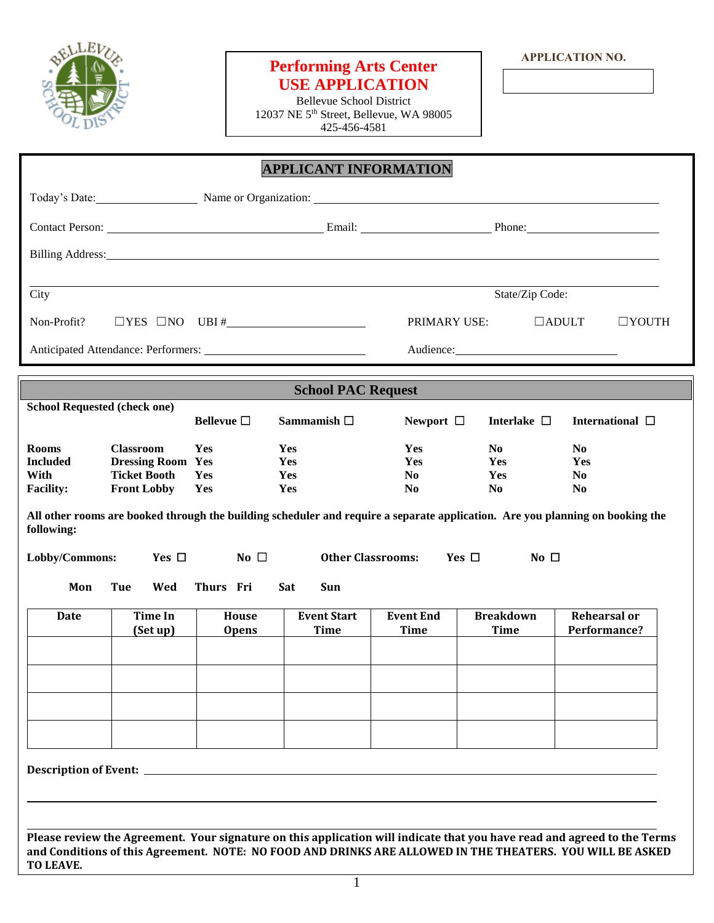

## **Performing Arts Center USE APPLICATION**

Bellevue School District 12037 NE 5th Street, Bellevue, WA 98005 425-456-4581

|                                                             |                                                                                           |                       | <b>APPLICANT INFORMATION</b>                                                                                   |                                                |                                                |                                                                                                                               |
|-------------------------------------------------------------|-------------------------------------------------------------------------------------------|-----------------------|----------------------------------------------------------------------------------------------------------------|------------------------------------------------|------------------------------------------------|-------------------------------------------------------------------------------------------------------------------------------|
|                                                             |                                                                                           |                       | Today's Date: Name or Organization: Name or Organization:                                                      |                                                |                                                |                                                                                                                               |
|                                                             |                                                                                           |                       |                                                                                                                |                                                |                                                |                                                                                                                               |
|                                                             |                                                                                           |                       | Billing Address: 1988 and 2008 and 2008 and 2008 and 2008 and 2008 and 2008 and 2008 and 2008 and 2008 and 200 |                                                |                                                |                                                                                                                               |
| City                                                        |                                                                                           |                       |                                                                                                                |                                                |                                                |                                                                                                                               |
|                                                             |                                                                                           |                       |                                                                                                                | State/Zip Code:                                |                                                |                                                                                                                               |
| $\Box$ YES $\Box$ NO UBI # $\Box$<br>Non-Profit?            |                                                                                           |                       | PRIMARY USE:                                                                                                   |                                                | $\Box$ ADULT<br>$\Box$ YOUTH                   |                                                                                                                               |
|                                                             |                                                                                           |                       |                                                                                                                |                                                |                                                |                                                                                                                               |
|                                                             |                                                                                           |                       | <b>School PAC Request</b>                                                                                      |                                                |                                                |                                                                                                                               |
| <b>School Requested (check one)</b>                         |                                                                                           | Bellevue $\square$    | Sammamish $\Box$                                                                                               | Newport $\Box$                                 | Interlake $\Box$                               | International $\Box$                                                                                                          |
| <b>Rooms</b><br><b>Included</b><br>With<br><b>Facility:</b> | <b>Classroom</b><br><b>Dressing Room Yes</b><br><b>Ticket Booth</b><br><b>Front Lobby</b> | Yes<br>Yes<br>Yes     | Yes<br>Yes<br>Yes<br>Yes                                                                                       | Yes<br>Yes<br>N <sub>0</sub><br>N <sub>0</sub> | N <sub>0</sub><br>Yes<br>Yes<br>N <sub>0</sub> | N <sub>0</sub><br>Yes<br>N <sub>0</sub><br>N <sub>0</sub>                                                                     |
| following:                                                  |                                                                                           |                       |                                                                                                                |                                                |                                                | All other rooms are booked through the building scheduler and require a separate application. Are you planning on booking the |
| Lobby/Commons:                                              | Yes $\Box$                                                                                | No $\square$          | <b>Other Classrooms:</b>                                                                                       |                                                | Yes $\Box$<br>No $\square$                     |                                                                                                                               |
| Mon                                                         | Tue<br>Wed                                                                                | Thurs Fri             | Sat<br>Sun                                                                                                     |                                                |                                                |                                                                                                                               |
| <b>Date</b>                                                 | <b>Time In</b><br>(Set up)                                                                | House<br><b>Opens</b> | <b>Event Start</b><br><b>Time</b>                                                                              | <b>Event End</b><br><b>Time</b>                | <b>Breakdown</b><br><b>Time</b>                | <b>Rehearsal or</b><br>Performance?                                                                                           |
|                                                             |                                                                                           |                       |                                                                                                                |                                                |                                                |                                                                                                                               |
|                                                             |                                                                                           |                       |                                                                                                                |                                                |                                                |                                                                                                                               |

**Please review the Agreement. Your signature on this application will indicate that you have read and agreed to the Terms and Conditions of this Agreement. NOTE: NO FOOD AND DRINKS ARE ALLOWED IN THE THEATERS. YOU WILL BE ASKED TO LEAVE.**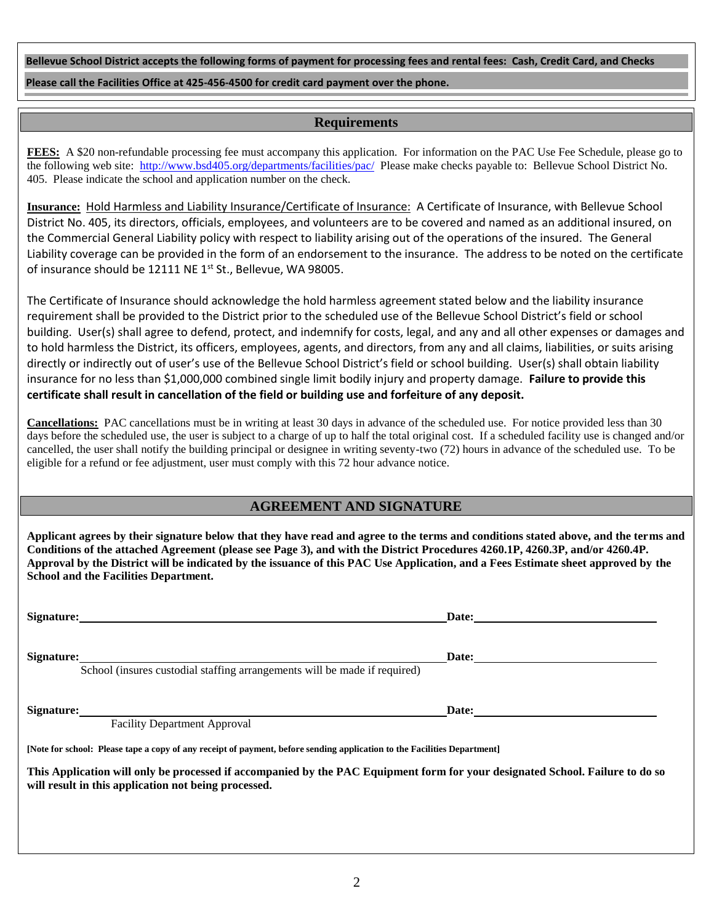**Bellevue School District accepts the following forms of payment for processing fees and rental fees: Cash, Credit Card, and Checks Please call the Facilities Office at 425-456-4500 for credit card payment over the phone.**

### **Requirements**

**FEES:** A \$20 non-refundable processing fee must accompany this application. For information on the PAC Use Fee Schedule, please go to the following web site: <http://www.bsd405.org/departments/facilities/pac/>Please make checks payable to: Bellevue School District No. 405. Please indicate the school and application number on the check.

**Insurance:** Hold Harmless and Liability Insurance/Certificate of Insurance: A Certificate of Insurance, with Bellevue School District No. 405, its directors, officials, employees, and volunteers are to be covered and named as an additional insured, on the Commercial General Liability policy with respect to liability arising out of the operations of the insured. The General Liability coverage can be provided in the form of an endorsement to the insurance. The address to be noted on the certificate of insurance should be 12111 NE 1<sup>st</sup> St., Bellevue, WA 98005.

The Certificate of Insurance should acknowledge the hold harmless agreement stated below and the liability insurance requirement shall be provided to the District prior to the scheduled use of the Bellevue School District's field or school building. User(s) shall agree to defend, protect, and indemnify for costs, legal, and any and all other expenses or damages and to hold harmless the District, its officers, employees, agents, and directors, from any and all claims, liabilities, or suits arising directly or indirectly out of user's use of the Bellevue School District's field or school building. User(s) shall obtain liability insurance for no less than \$1,000,000 combined single limit bodily injury and property damage. **Failure to provide this certificate shall result in cancellation of the field or building use and forfeiture of any deposit.**

**Cancellations:** PAC cancellations must be in writing at least 30 days in advance of the scheduled use. For notice provided less than 30 days before the scheduled use, the user is subject to a charge of up to half the total original cost. If a scheduled facility use is changed and/or cancelled, the user shall notify the building principal or designee in writing seventy-two (72) hours in advance of the scheduled use. To be eligible for a refund or fee adjustment, user must comply with this 72 hour advance notice.

### **AGREEMENT AND SIGNATURE**

**Applicant agrees by their signature below that they have read and agree to the terms and conditions stated above, and the terms and Conditions of the attached Agreement (please see Page 3), and with the District Procedures 4260.1P, 4260.3P, and/or 4260.4P. Approval by the District will be indicated by the issuance of this PAC Use Application, and a Fees Estimate sheet approved by the School and the Facilities Department.**

**Signature: Date:**

**Signature: Date:**

School (insures custodial staffing arrangements will be made if required)

**Signature: Date:**

Facility Department Approval

**[Note for school: Please tape a copy of any receipt of payment, before sending application to the Facilities Department]**

**This Application will only be processed if accompanied by the PAC Equipment form for your designated School. Failure to do so will result in this application not being processed.**